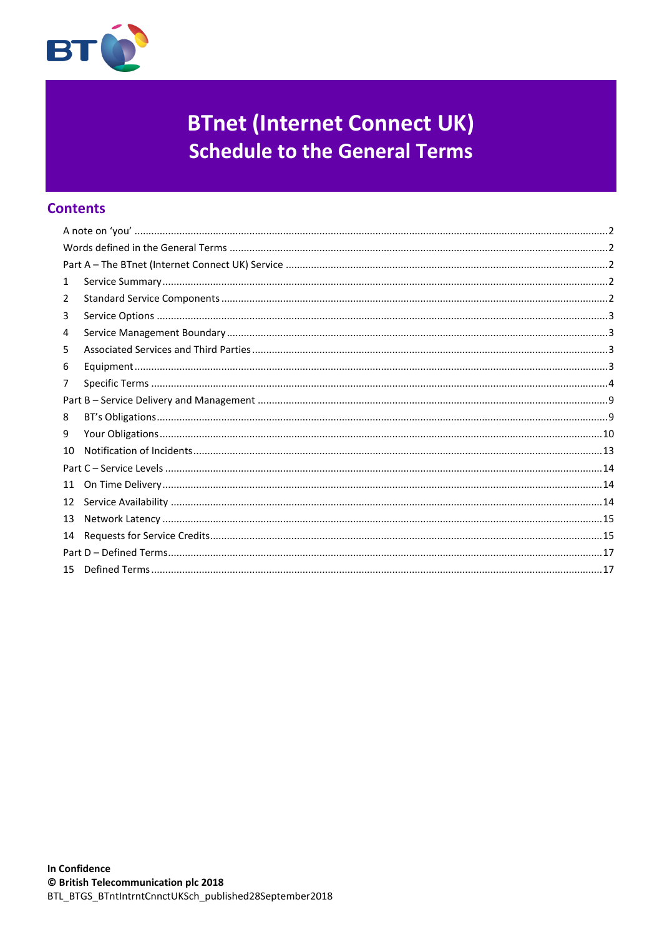

# **BTnet (Internet Connect UK) Schedule to the General Terms**

# **Contents**

| 1  |  |  |  |
|----|--|--|--|
| 2  |  |  |  |
| 3  |  |  |  |
| 4  |  |  |  |
| 5  |  |  |  |
| 6  |  |  |  |
| 7  |  |  |  |
|    |  |  |  |
| 8  |  |  |  |
| 9  |  |  |  |
| 10 |  |  |  |
|    |  |  |  |
| 11 |  |  |  |
| 12 |  |  |  |
| 13 |  |  |  |
| 14 |  |  |  |
|    |  |  |  |
|    |  |  |  |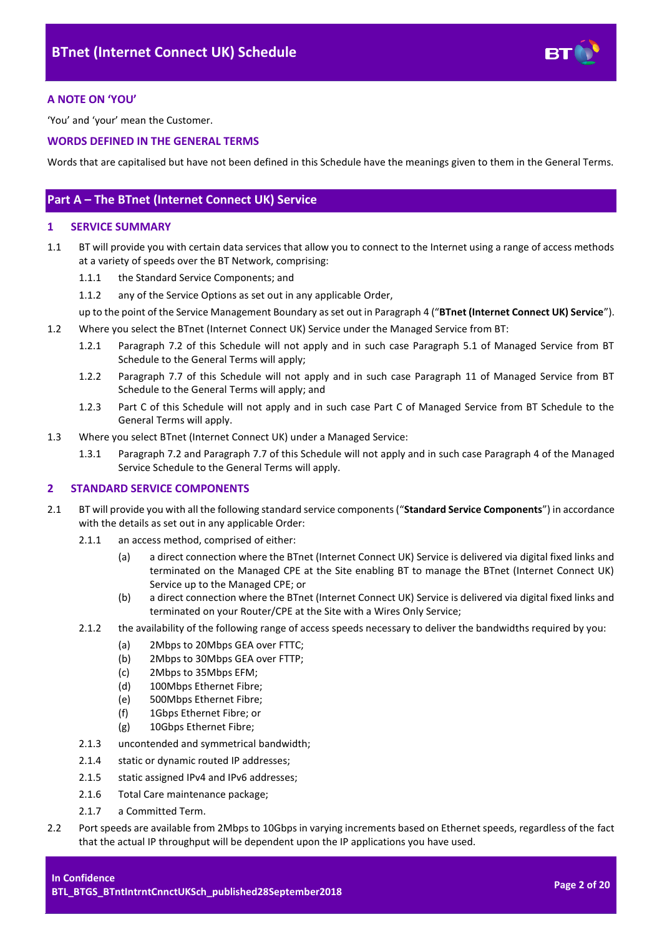

# <span id="page-1-0"></span>**A NOTE ON 'YOU'**

'You' and 'your' mean the Customer.

# <span id="page-1-1"></span>**WORDS DEFINED IN THE GENERAL TERMS**

Words that are capitalised but have not been defined in this Schedule have the meanings given to them in the General Terms.

# <span id="page-1-2"></span>**Part A – The BTnet (Internet Connect UK) Service**

# <span id="page-1-3"></span>**1 SERVICE SUMMARY**

- 1.1 BT will provide you with certain data services that allow you to connect to the Internet using a range of access methods at a variety of speeds over the BT Network, comprising:
	- 1.1.1 the Standard Service Components; and
	- 1.1.2 any of the Service Options as set out in any applicable Order,
	- up to the point of the Service Management Boundary as set out in Paragraph [4](#page-2-1) ("**BTnet (Internet Connect UK) Service**").
- 1.2 Where you select the BTnet (Internet Connect UK) Service under the Managed Service from BT:
	- 1.2.1 Paragraph [7.2](#page-3-1) of this Schedule will not apply and in such case Paragraph 5.1 of Managed Service from BT Schedule to the General Terms will apply;
	- 1.2.2 Paragraph [7.7](#page-5-0) of this Schedule will not apply and in such case Paragraph 11 of Managed Service from BT Schedule to the General Terms will apply; and
	- 1.2.3 Part C of this Schedule will not apply and in such case Part C of Managed Service from BT Schedule to the General Terms will apply.
- 1.3 Where you select BTnet (Internet Connect UK) under a Managed Service:
	- 1.3.1 Paragrap[h 7.2](#page-3-1) and Paragrap[h 7.7](#page-5-0) of this Schedule will not apply and in such case Paragraph 4 of the Managed Service Schedule to the General Terms will apply.

# <span id="page-1-4"></span>**2 STANDARD SERVICE COMPONENTS**

- 2.1 BT will provide you with all the following standard service components ("**Standard Service Components**") in accordance with the details as set out in any applicable Order:
	- 2.1.1 an access method, comprised of either:
		- (a) a direct connection where the BTnet (Internet Connect UK) Service is delivered via digital fixed links and terminated on the Managed CPE at the Site enabling BT to manage the BTnet (Internet Connect UK) Service up to the Managed CPE; or
		- (b) a direct connection where the BTnet (Internet Connect UK) Service is delivered via digital fixed links and terminated on your Router/CPE at the Site with a Wires Only Service;
	- 2.1.2 the availability of the following range of access speeds necessary to deliver the bandwidths required by you:
		- (a) 2Mbps to 20Mbps GEA over FTTC;
		- (b) 2Mbps to 30Mbps GEA over FTTP;<br>(c) 2Mbps to 35Mbps EFM:
		- 2Mbps to 35Mbps EFM;
		- (d) 100Mbps Ethernet Fibre;
		- (e) 500Mbps Ethernet Fibre;
		- (f) 1Gbps Ethernet Fibre; or
		- (g) 10Gbps Ethernet Fibre;
	- 2.1.3 uncontended and symmetrical bandwidth;
	- 2.1.4 static or dynamic routed IP addresses;
	- 2.1.5 static assigned IPv4 and IPv6 addresses;
	- 2.1.6 Total Care maintenance package;
	- 2.1.7 a Committed Term.
- 2.2 Port speeds are available from 2Mbps to 10Gbps in varying increments based on Ethernet speeds, regardless of the fact that the actual IP throughput will be dependent upon the IP applications you have used.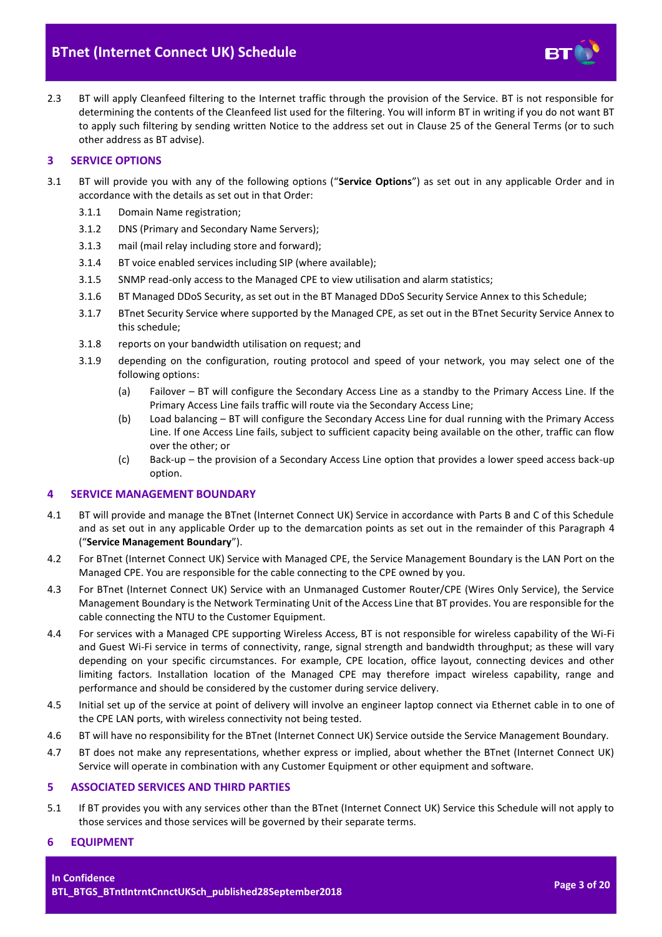

2.3 BT will apply Cleanfeed filtering to the Internet traffic through the provision of the Service. BT is not responsible for determining the contents of the Cleanfeed list used for the filtering. You will inform BT in writing if you do not want BT to apply such filtering by sending written Notice to the address set out in Clause 25 of the General Terms (or to such other address as BT advise).

# <span id="page-2-0"></span>**3 SERVICE OPTIONS**

- 3.1 BT will provide you with any of the following options ("**Service Options**") as set out in any applicable Order and in accordance with the details as set out in that Order:
	- 3.1.1 Domain Name registration;
	- 3.1.2 DNS (Primary and Secondary Name Servers);
	- 3.1.3 mail (mail relay including store and forward);
	- 3.1.4 BT voice enabled services including SIP (where available);
	- 3.1.5 SNMP read-only access to the Managed CPE to view utilisation and alarm statistics;
	- 3.1.6 BT Managed DDoS Security, as set out in the BT Managed DDoS Security Service Annex to this Schedule;
	- 3.1.7 BTnet Security Service where supported by the Managed CPE, as set out in the BTnet Security Service Annex to this schedule;
	- 3.1.8 reports on your bandwidth utilisation on request; and
	- 3.1.9 depending on the configuration, routing protocol and speed of your network, you may select one of the following options:
		- (a) Failover BT will configure the Secondary Access Line as a standby to the Primary Access Line. If the Primary Access Line fails traffic will route via the Secondary Access Line;
		- (b) Load balancing BT will configure the Secondary Access Line for dual running with the Primary Access Line. If one Access Line fails, subject to sufficient capacity being available on the other, traffic can flow over the other; or
		- (c) Back-up the provision of a Secondary Access Line option that provides a lower speed access back-up option.

# <span id="page-2-4"></span><span id="page-2-1"></span>**4 SERVICE MANAGEMENT BOUNDARY**

- <span id="page-2-5"></span>4.1 BT will provide and manage the BTnet (Internet Connect UK) Service in accordance with Parts B and C of this Schedule and as set out in any applicable Order up to the demarcation points as set out in the remainder of this Paragraph [4](#page-2-1) ("**Service Management Boundary**").
- 4.2 For BTnet (Internet Connect UK) Service with Managed CPE, the Service Management Boundary is the LAN Port on the Managed CPE. You are responsible for the cable connecting to the CPE owned by you.
- 4.3 For BTnet (Internet Connect UK) Service with an Unmanaged Customer Router/CPE (Wires Only Service), the Service Management Boundary is the Network Terminating Unit of the Access Line that BT provides. You are responsible for the cable connecting the NTU to the Customer Equipment.
- 4.4 For services with a Managed CPE supporting Wireless Access, BT is not responsible for wireless capability of the Wi-Fi and Guest Wi-Fi service in terms of connectivity, range, signal strength and bandwidth throughput; as these will vary depending on your specific circumstances. For example, CPE location, office layout, connecting devices and other limiting factors. Installation location of the Managed CPE may therefore impact wireless capability, range and performance and should be considered by the customer during service delivery.
- 4.5 Initial set up of the service at point of delivery will involve an engineer laptop connect via Ethernet cable in to one of the CPE LAN ports, with wireless connectivity not being tested.
- 4.6 BT will have no responsibility for the BTnet (Internet Connect UK) Service outside the Service Management Boundary.
- 4.7 BT does not make any representations, whether express or implied, about whether the BTnet (Internet Connect UK) Service will operate in combination with any Customer Equipment or other equipment and software.

# <span id="page-2-2"></span>**5 ASSOCIATED SERVICES AND THIRD PARTIES**

5.1 If BT provides you with any services other than the BTnet (Internet Connect UK) Service this Schedule will not apply to those services and those services will be governed by their separate terms.

# <span id="page-2-3"></span>**6 EQUIPMENT**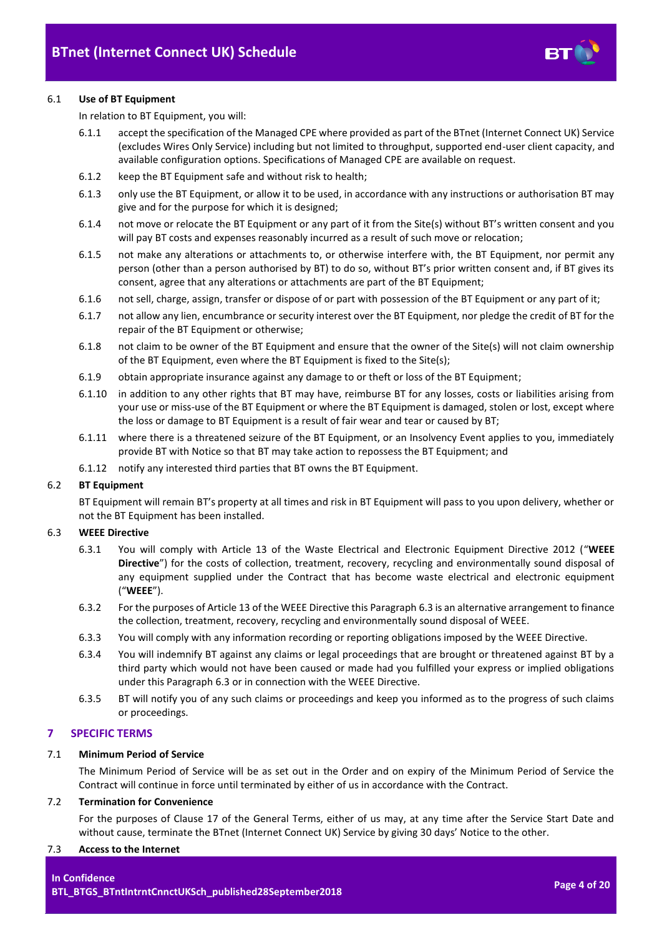

# 6.1 **Use of BT Equipment**

In relation to BT Equipment, you will:

- 6.1.1 accept the specification of the Managed CPE where provided as part of the BTnet (Internet Connect UK) Service (excludes Wires Only Service) including but not limited to throughput, supported end-user client capacity, and available configuration options. Specifications of Managed CPE are available on request.
- 6.1.2 keep the BT Equipment safe and without risk to health;
- 6.1.3 only use the BT Equipment, or allow it to be used, in accordance with any instructions or authorisation BT may give and for the purpose for which it is designed;
- 6.1.4 not move or relocate the BT Equipment or any part of it from the Site(s) without BT's written consent and you will pay BT costs and expenses reasonably incurred as a result of such move or relocation;
- 6.1.5 not make any alterations or attachments to, or otherwise interfere with, the BT Equipment, nor permit any person (other than a person authorised by BT) to do so, without BT's prior written consent and, if BT gives its consent, agree that any alterations or attachments are part of the BT Equipment;
- 6.1.6 not sell, charge, assign, transfer or dispose of or part with possession of the BT Equipment or any part of it;
- 6.1.7 not allow any lien, encumbrance or security interest over the BT Equipment, nor pledge the credit of BT for the repair of the BT Equipment or otherwise;
- 6.1.8 not claim to be owner of the BT Equipment and ensure that the owner of the Site(s) will not claim ownership of the BT Equipment, even where the BT Equipment is fixed to the Site(s);
- 6.1.9 obtain appropriate insurance against any damage to or theft or loss of the BT Equipment;
- 6.1.10 in addition to any other rights that BT may have, reimburse BT for any losses, costs or liabilities arising from your use or miss-use of the BT Equipment or where the BT Equipment is damaged, stolen or lost, except where the loss or damage to BT Equipment is a result of fair wear and tear or caused by BT;
- 6.1.11 where there is a threatened seizure of the BT Equipment, or an Insolvency Event applies to you, immediately provide BT with Notice so that BT may take action to repossess the BT Equipment; and
- 6.1.12 notify any interested third parties that BT owns the BT Equipment.

# 6.2 **BT Equipment**

BT Equipment will remain BT's property at all times and risk in BT Equipment will pass to you upon delivery, whether or not the BT Equipment has been installed.

# <span id="page-3-3"></span><span id="page-3-2"></span>6.3 **WEEE Directive**

- 6.3.1 You will comply with Article 13 of the Waste Electrical and Electronic Equipment Directive 2012 ("**WEEE Directive**") for the costs of collection, treatment, recovery, recycling and environmentally sound disposal of any equipment supplied under the Contract that has become waste electrical and electronic equipment ("**WEEE**").
- 6.3.2 For the purposes of Article 13 of the WEEE Directive this Paragraph [6.3](#page-3-2) is an alternative arrangement to finance the collection, treatment, recovery, recycling and environmentally sound disposal of WEEE.
- 6.3.3 You will comply with any information recording or reporting obligations imposed by the WEEE Directive.
- 6.3.4 You will indemnify BT against any claims or legal proceedings that are brought or threatened against BT by a third party which would not have been caused or made had you fulfilled your express or implied obligations under this Paragraph [6.3](#page-3-2) or in connection with the WEEE Directive.
- 6.3.5 BT will notify you of any such claims or proceedings and keep you informed as to the progress of such claims or proceedings.

# <span id="page-3-0"></span>**7 SPECIFIC TERMS**

# 7.1 **Minimum Period of Service**

The Minimum Period of Service will be as set out in the Order and on expiry of the Minimum Period of Service the Contract will continue in force until terminated by either of us in accordance with the Contract.

#### <span id="page-3-1"></span>7.2 **Termination for Convenience**

For the purposes of Clause 17 of the General Terms, either of us may, at any time after the Service Start Date and without cause, terminate the BTnet (Internet Connect UK) Service by giving 30 days' Notice to the other.

#### 7.3 **Access to the Internet**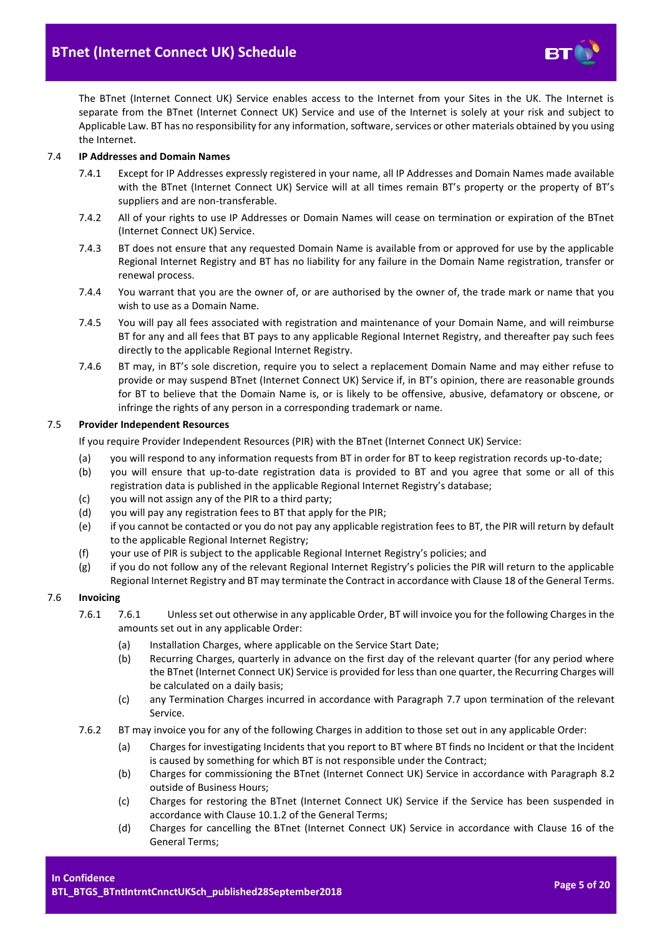

The BTnet (Internet Connect UK) Service enables access to the Internet from your Sites in the UK. The Internet is separate from the BTnet (Internet Connect UK) Service and use of the Internet is solely at your risk and subject to Applicable Law. BT has no responsibility for any information, software, services or other materials obtained by you using the Internet.

#### 7.4 **IP Addresses and Domain Names**

- 7.4.1 Except for IP Addresses expressly registered in your name, all IP Addresses and Domain Names made available with the BTnet (Internet Connect UK) Service will at all times remain BT's property or the property of BT's suppliers and are non-transferable.
- 7.4.2 All of your rights to use IP Addresses or Domain Names will cease on termination or expiration of the BTnet (Internet Connect UK) Service.
- 7.4.3 BT does not ensure that any requested Domain Name is available from or approved for use by the applicable Regional Internet Registry and BT has no liability for any failure in the Domain Name registration, transfer or renewal process.
- 7.4.4 You warrant that you are the owner of, or are authorised by the owner of, the trade mark or name that you wish to use as a Domain Name.
- 7.4.5 You will pay all fees associated with registration and maintenance of your Domain Name, and will reimburse BT for any and all fees that BT pays to any applicable Regional Internet Registry, and thereafter pay such fees directly to the applicable Regional Internet Registry.
- 7.4.6 BT may, in BT's sole discretion, require you to select a replacement Domain Name and may either refuse to provide or may suspend BTnet (Internet Connect UK) Service if, in BT's opinion, there are reasonable grounds for BT to believe that the Domain Name is, or is likely to be offensive, abusive, defamatory or obscene, or infringe the rights of any person in a corresponding trademark or name.

#### 7.5 **Provider Independent Resources**

If you require Provider Independent Resources (PIR) with the BTnet (Internet Connect UK) Service:

- (a) you will respond to any information requests from BT in order for BT to keep registration records up-to-date;
- (b) you will ensure that up-to-date registration data is provided to BT and you agree that some or all of this registration data is published in the applicable Regional Internet Registry's database;
- (c) you will not assign any of the PIR to a third party;
- (d) you will pay any registration fees to BT that apply for the PIR;
- (e) if you cannot be contacted or you do not pay any applicable registration fees to BT, the PIR will return by default to the applicable Regional Internet Registry;
- (f) your use of PIR is subject to the applicable Regional Internet Registry's policies; and
- (g) if you do not follow any of the relevant Regional Internet Registry's policies the PIR will return to the applicable Regional Internet Registry and BT may terminate the Contract in accordance with Clause 18 of the General Terms.

# <span id="page-4-0"></span>7.6 **Invoicing**

- 7.6.1 7.6.1 Unless set out otherwise in any applicable Order, BT will invoice you for the following Charges in the amounts set out in any applicable Order:
	- (a) Installation Charges, where applicable on the Service Start Date;
	- (b) Recurring Charges, quarterly in advance on the first day of the relevant quarter (for any period where the BTnet (Internet Connect UK) Service is provided for less than one quarter, the Recurring Charges will be calculated on a daily basis;
	- (c) any Termination Charges incurred in accordance with Paragraph [7.7](#page-5-0) upon termination of the relevant Service.
- 7.6.2 BT may invoice you for any of the following Charges in addition to those set out in any applicable Order:
	- (a) Charges for investigating Incidents that you report to BT where BT finds no Incident or that the Incident is caused by something for which BT is not responsible under the Contract;
	- (b) Charges for commissioning the BTnet (Internet Connect UK) Service in accordance with Paragraph [8.2](#page-8-2) outside of Business Hours;
	- (c) Charges for restoring the BTnet (Internet Connect UK) Service if the Service has been suspended in accordance with Clause 10.1.2 of the General Terms;
	- (d) Charges for cancelling the BTnet (Internet Connect UK) Service in accordance with Clause 16 of the General Terms;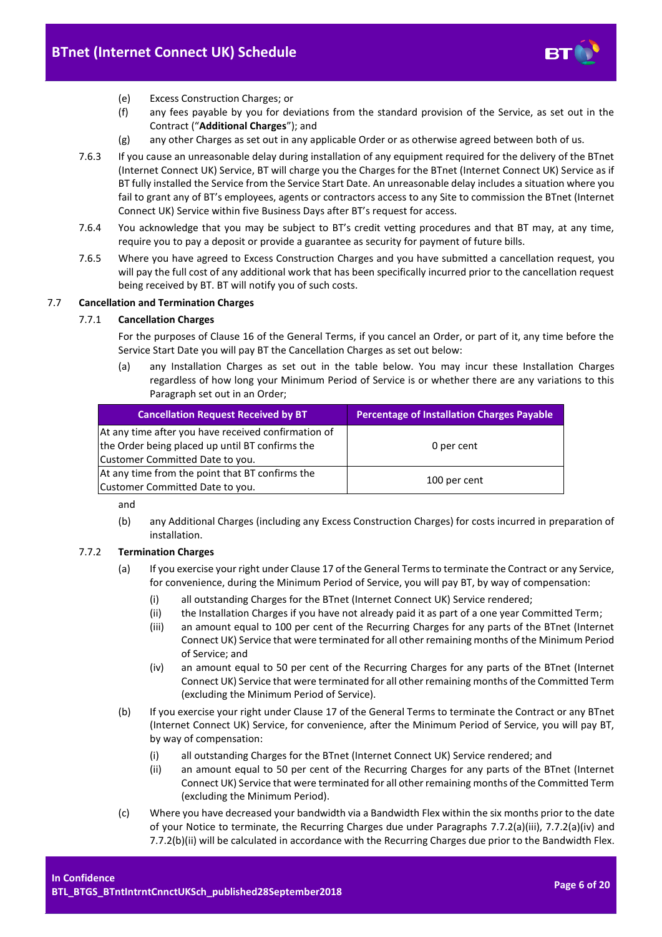

- (e) Excess Construction Charges; or
- (f) any fees payable by you for deviations from the standard provision of the Service, as set out in the Contract ("**Additional Charges**"); and
- (g) any other Charges as set out in any applicable Order or as otherwise agreed between both of us.
- <span id="page-5-6"></span>7.6.3 If you cause an unreasonable delay during installation of any equipment required for the delivery of the BTnet (Internet Connect UK) Service, BT will charge you the Charges for the BTnet (Internet Connect UK) Service as if BT fully installed the Service from the Service Start Date. An unreasonable delay includes a situation where you fail to grant any of BT's employees, agents or contractors access to any Site to commission the BTnet (Internet Connect UK) Service within five Business Days after BT's request for access.
- 7.6.4 You acknowledge that you may be subject to BT's credit vetting procedures and that BT may, at any time, require you to pay a deposit or provide a guarantee as security for payment of future bills.
- 7.6.5 Where you have agreed to Excess Construction Charges and you have submitted a cancellation request, you will pay the full cost of any additional work that has been specifically incurred prior to the cancellation request being received by BT. BT will notify you of such costs.

# <span id="page-5-0"></span>7.7 **Cancellation and Termination Charges**

# 7.7.1 **Cancellation Charges**

For the purposes of Clause 16 of the General Terms, if you cancel an Order, or part of it, any time before the Service Start Date you will pay BT the Cancellation Charges as set out below:

(a) any Installation Charges as set out in the table below. You may incur these Installation Charges regardless of how long your Minimum Period of Service is or whether there are any variations to this Paragraph set out in an Order;

| <b>Cancellation Request Received by BT</b>                                                                                                | <b>Percentage of Installation Charges Payable</b> |
|-------------------------------------------------------------------------------------------------------------------------------------------|---------------------------------------------------|
| At any time after you have received confirmation of<br>the Order being placed up until BT confirms the<br>Customer Committed Date to you. | 0 per cent                                        |
| At any time from the point that BT confirms the<br>Customer Committed Date to you.                                                        | 100 per cent                                      |

and

(b) any Additional Charges (including any Excess Construction Charges) for costs incurred in preparation of installation.

# <span id="page-5-4"></span><span id="page-5-1"></span>7.7.2 **Termination Charges**

- (a) If you exercise your right under Clause 17 of the General Terms to terminate the Contract or any Service, for convenience, during the Minimum Period of Service, you will pay BT, by way of compensation:
	- (i) all outstanding Charges for the BTnet (Internet Connect UK) Service rendered;
	- (ii) the Installation Charges if you have not already paid it as part of a one year Committed Term;
	- (iii) an amount equal to 100 per cent of the Recurring Charges for any parts of the BTnet (Internet Connect UK) Service that were terminated for all other remaining months of the Minimum Period of Service; and
	- (iv) an amount equal to 50 per cent of the Recurring Charges for any parts of the BTnet (Internet Connect UK) Service that were terminated for all other remaining months of the Committed Term (excluding the Minimum Period of Service).
- <span id="page-5-5"></span><span id="page-5-2"></span>(b) If you exercise your right under Clause 17 of the General Terms to terminate the Contract or any BTnet (Internet Connect UK) Service, for convenience, after the Minimum Period of Service, you will pay BT, by way of compensation:
	- (i) all outstanding Charges for the BTnet (Internet Connect UK) Service rendered; and
	- (ii) an amount equal to 50 per cent of the Recurring Charges for any parts of the BTnet (Internet Connect UK) Service that were terminated for all other remaining months of the Committed Term (excluding the Minimum Period).
- <span id="page-5-3"></span>(c) Where you have decreased your bandwidth via a Bandwidth Flex within the six months prior to the date of your Notice to terminate, the Recurring Charges due under Paragraphs [7.7.2\(a\)\(iii\),](#page-5-1) [7.7.2\(a\)\(iv\)](#page-5-2) and [7.7.2\(b\)\(ii\)](#page-5-3) will be calculated in accordance with the Recurring Charges due prior to the Bandwidth Flex.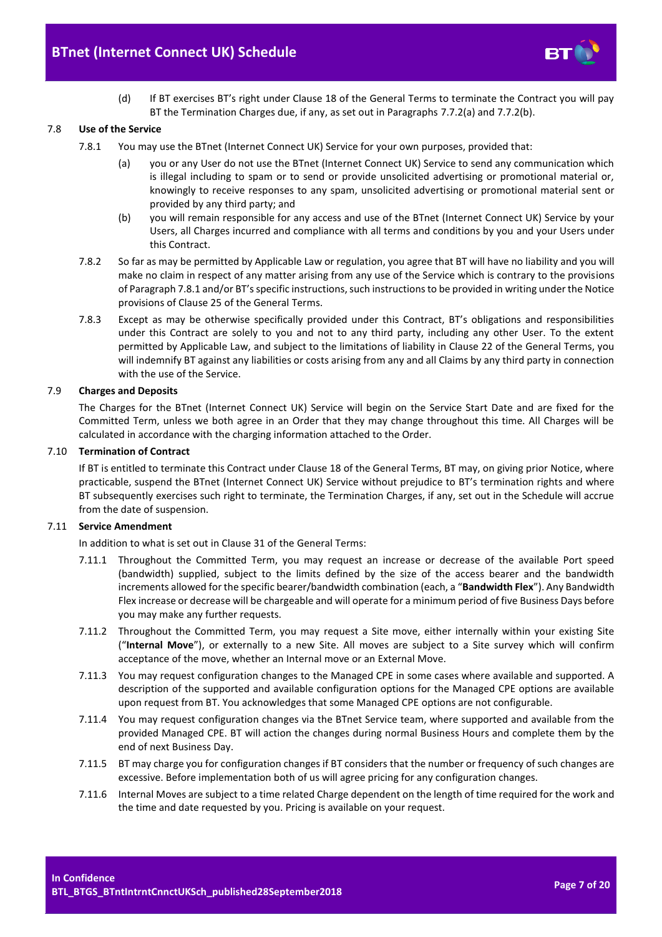

(d) If BT exercises BT's right under Clause 18 of the General Terms to terminate the Contract you will pay BT the Termination Charges due, if any, as set out in Paragraphs [7.7.2\(a\)](#page-5-4) an[d 7.7.2\(b\).](#page-5-5)

#### <span id="page-6-0"></span>7.8 **Use of the Service**

- 7.8.1 You may use the BTnet (Internet Connect UK) Service for your own purposes, provided that:
	- (a) you or any User do not use the BTnet (Internet Connect UK) Service to send any communication which is illegal including to spam or to send or provide unsolicited advertising or promotional material or, knowingly to receive responses to any spam, unsolicited advertising or promotional material sent or provided by any third party; and
	- (b) you will remain responsible for any access and use of the BTnet (Internet Connect UK) Service by your Users, all Charges incurred and compliance with all terms and conditions by you and your Users under this Contract.
- 7.8.2 So far as may be permitted by Applicable Law or regulation, you agree that BT will have no liability and you will make no claim in respect of any matter arising from any use of the Service which is contrary to the provisions of Paragrap[h 7.8.1](#page-6-0) and/or BT's specific instructions, such instructions to be provided in writing under the Notice provisions of Clause 25 of the General Terms.
- 7.8.3 Except as may be otherwise specifically provided under this Contract, BT's obligations and responsibilities under this Contract are solely to you and not to any third party, including any other User. To the extent permitted by Applicable Law, and subject to the limitations of liability in Clause 22 of the General Terms, you will indemnify BT against any liabilities or costs arising from any and all Claims by any third party in connection with the use of the Service.

#### 7.9 **Charges and Deposits**

The Charges for the BTnet (Internet Connect UK) Service will begin on the Service Start Date and are fixed for the Committed Term, unless we both agree in an Order that they may change throughout this time. All Charges will be calculated in accordance with the charging information attached to the Order.

#### 7.10 **Termination of Contract**

If BT is entitled to terminate this Contract under Clause 18 of the General Terms, BT may, on giving prior Notice, where practicable, suspend the BTnet (Internet Connect UK) Service without prejudice to BT's termination rights and where BT subsequently exercises such right to terminate, the Termination Charges, if any, set out in the Schedule will accrue from the date of suspension.

#### <span id="page-6-1"></span>7.11 **Service Amendment**

In addition to what is set out in Clause 31 of the General Terms:

- 7.11.1 Throughout the Committed Term, you may request an increase or decrease of the available Port speed (bandwidth) supplied, subject to the limits defined by the size of the access bearer and the bandwidth increments allowed for the specific bearer/bandwidth combination (each, a "**Bandwidth Flex**"). Any Bandwidth Flex increase or decrease will be chargeable and will operate for a minimum period of five Business Days before you may make any further requests.
- 7.11.2 Throughout the Committed Term, you may request a Site move, either internally within your existing Site ("**Internal Move**"), or externally to a new Site. All moves are subject to a Site survey which will confirm acceptance of the move, whether an Internal move or an External Move.
- 7.11.3 You may request configuration changes to the Managed CPE in some cases where available and supported. A description of the supported and available configuration options for the Managed CPE options are available upon request from BT. You acknowledges that some Managed CPE options are not configurable.
- 7.11.4 You may request configuration changes via the BTnet Service team, where supported and available from the provided Managed CPE. BT will action the changes during normal Business Hours and complete them by the end of next Business Day.
- 7.11.5 BT may charge you for configuration changes if BT considers that the number or frequency of such changes are excessive. Before implementation both of us will agree pricing for any configuration changes.
- 7.11.6 Internal Moves are subject to a time related Charge dependent on the length of time required for the work and the time and date requested by you. Pricing is available on your request.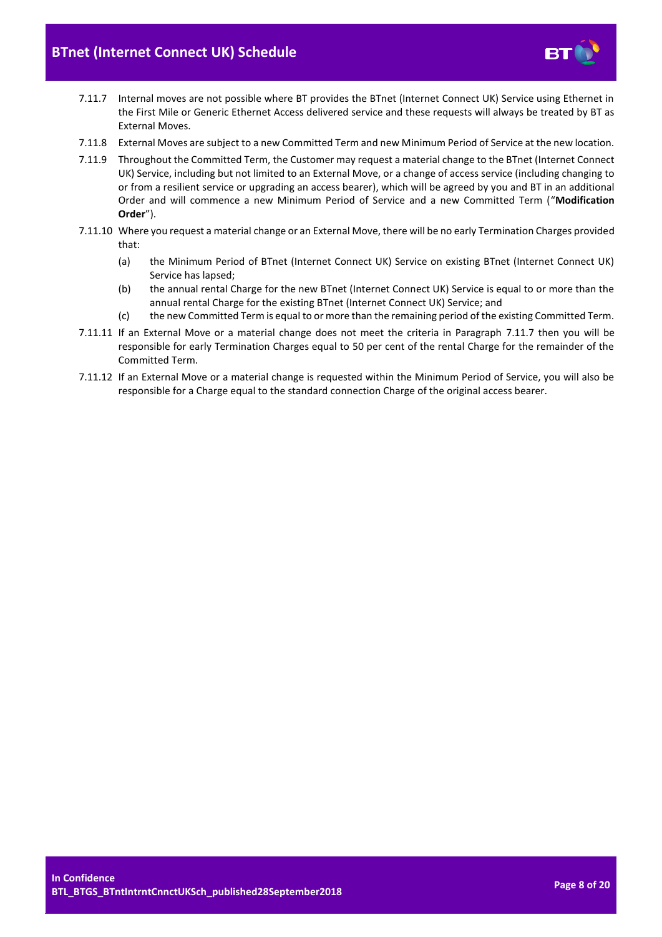

- <span id="page-7-0"></span>7.11.7 Internal moves are not possible where BT provides the BTnet (Internet Connect UK) Service using Ethernet in the First Mile or Generic Ethernet Access delivered service and these requests will always be treated by BT as External Moves.
- 7.11.8 External Moves are subject to a new Committed Term and new Minimum Period of Service at the new location.
- <span id="page-7-1"></span>7.11.9 Throughout the Committed Term, the Customer may request a material change to the BTnet (Internet Connect UK) Service, including but not limited to an External Move, or a change of access service (including changing to or from a resilient service or upgrading an access bearer), which will be agreed by you and BT in an additional Order and will commence a new Minimum Period of Service and a new Committed Term ("**Modification Order**").
- 7.11.10 Where you request a material change or an External Move, there will be no early Termination Charges provided that:
	- (a) the Minimum Period of BTnet (Internet Connect UK) Service on existing BTnet (Internet Connect UK) Service has lapsed;
	- (b) the annual rental Charge for the new BTnet (Internet Connect UK) Service is equal to or more than the annual rental Charge for the existing BTnet (Internet Connect UK) Service; and
	- (c) the new Committed Term is equal to or more than the remaining period of the existing Committed Term.
- 7.11.11 If an External Move or a material change does not meet the criteria in Paragraph [7.11.7](#page-7-0) then you will be responsible for early Termination Charges equal to 50 per cent of the rental Charge for the remainder of the Committed Term.
- 7.11.12 If an External Move or a material change is requested within the Minimum Period of Service, you will also be responsible for a Charge equal to the standard connection Charge of the original access bearer.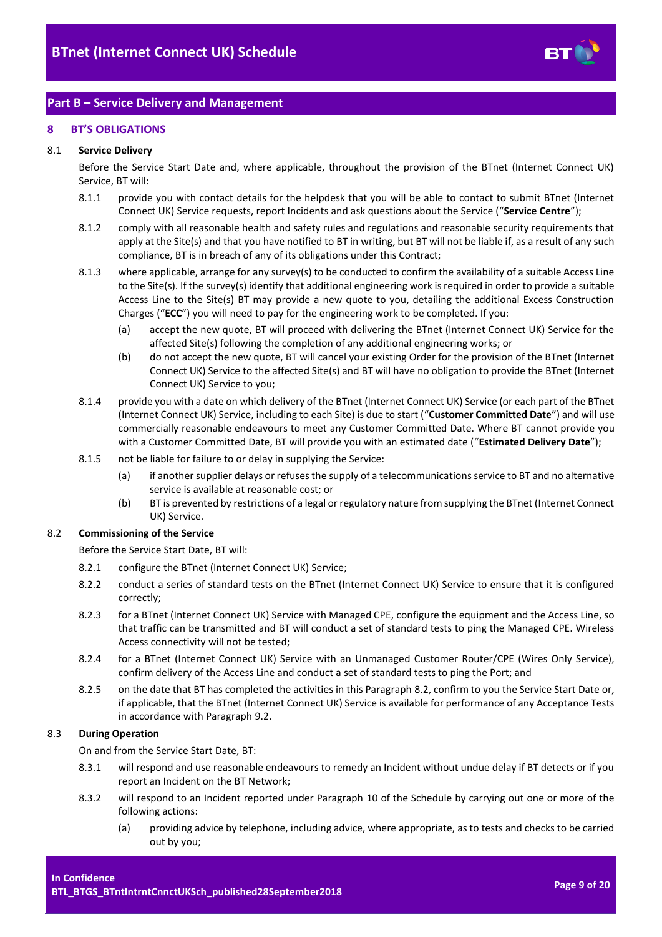

# <span id="page-8-0"></span>**Part B – Service Delivery and Management**

# <span id="page-8-1"></span>**8 BT'S OBLIGATIONS**

#### 8.1 **Service Delivery**

Before the Service Start Date and, where applicable, throughout the provision of the BTnet (Internet Connect UK) Service, BT will:

- <span id="page-8-8"></span>8.1.1 provide you with contact details for the helpdesk that you will be able to contact to submit BTnet (Internet Connect UK) Service requests, report Incidents and ask questions about the Service ("**Service Centre**");
- 8.1.2 comply with all reasonable health and safety rules and regulations and reasonable security requirements that apply at the Site(s) and that you have notified to BT in writing, but BT will not be liable if, as a result of any such compliance, BT is in breach of any of its obligations under this Contract;
- 8.1.3 where applicable, arrange for any survey(s) to be conducted to confirm the availability of a suitable Access Line to the Site(s). If the survey(s) identify that additional engineering work is required in order to provide a suitable Access Line to the Site(s) BT may provide a new quote to you, detailing the additional Excess Construction Charges ("**ECC**") you will need to pay for the engineering work to be completed. If you:
	- (a) accept the new quote, BT will proceed with delivering the BTnet (Internet Connect UK) Service for the affected Site(s) following the completion of any additional engineering works; or
	- (b) do not accept the new quote, BT will cancel your existing Order for the provision of the BTnet (Internet Connect UK) Service to the affected Site(s) and BT will have no obligation to provide the BTnet (Internet Connect UK) Service to you;
- 8.1.4 provide you with a date on which delivery of the BTnet (Internet Connect UK) Service (or each part of the BTnet (Internet Connect UK) Service, including to each Site) is due to start ("**Customer Committed Date**") and will use commercially reasonable endeavours to meet any Customer Committed Date. Where BT cannot provide you with a Customer Committed Date, BT will provide you with an estimated date ("**Estimated Delivery Date**");
- <span id="page-8-5"></span>8.1.5 not be liable for failure to or delay in supplying the Service:
	- (a) if another supplier delays or refuses the supply of a telecommunications service to BT and no alternative service is available at reasonable cost; or
	- (b) BT is prevented by restrictions of a legal or regulatory nature from supplying the BTnet (Internet Connect UK) Service.

#### <span id="page-8-2"></span>8.2 **Commissioning of the Service**

Before the Service Start Date, BT will:

- 8.2.1 configure the BTnet (Internet Connect UK) Service;
- 8.2.2 conduct a series of standard tests on the BTnet (Internet Connect UK) Service to ensure that it is configured correctly;
- 8.2.3 for a BTnet (Internet Connect UK) Service with Managed CPE, configure the equipment and the Access Line, so that traffic can be transmitted and BT will conduct a set of standard tests to ping the Managed CPE. Wireless Access connectivity will not be tested;
- 8.2.4 for a BTnet (Internet Connect UK) Service with an Unmanaged Customer Router/CPE (Wires Only Service), confirm delivery of the Access Line and conduct a set of standard tests to ping the Port; and
- <span id="page-8-4"></span>8.2.5 on the date that BT has completed the activities in this Paragrap[h 8.2,](#page-8-2) confirm to you the Service Start Date or, if applicable, that the BTnet (Internet Connect UK) Service is available for performance of any Acceptance Tests in accordance with Paragraph [9.2.](#page-11-0)

#### <span id="page-8-6"></span>8.3 **During Operation**

On and from the Service Start Date, BT:

- 8.3.1 will respond and use reasonable endeavours to remedy an Incident without undue delay if BT detects or if you report an Incident on the BT Network;
- <span id="page-8-7"></span><span id="page-8-3"></span>8.3.2 will respond to an Incident reported under Paragraph [10](#page-12-0) of the Schedule by carrying out one or more of the following actions:
	- (a) providing advice by telephone, including advice, where appropriate, as to tests and checks to be carried out by you;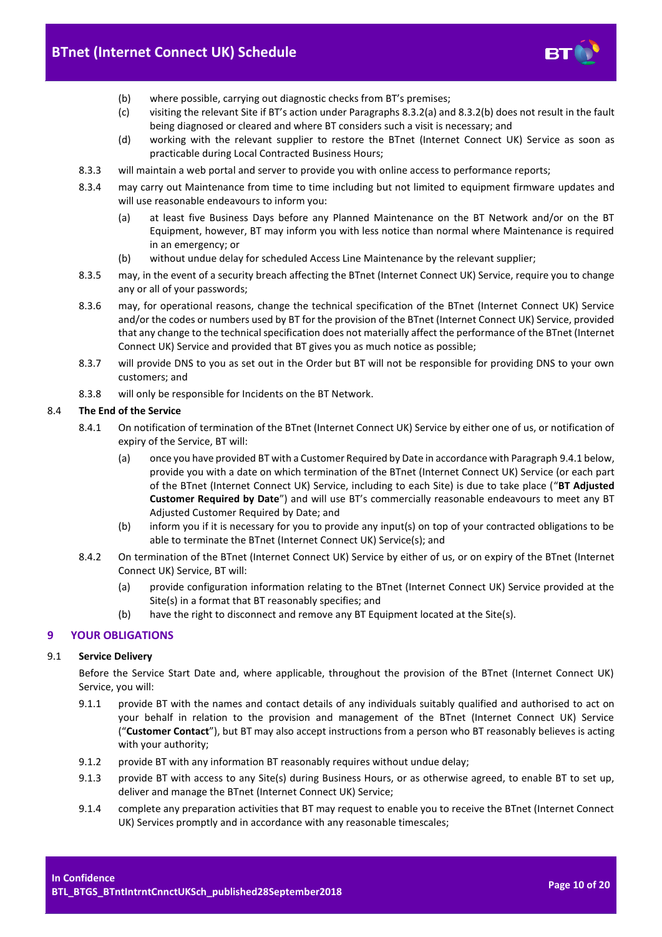

- <span id="page-9-1"></span>(b) where possible, carrying out diagnostic checks from BT's premises;
- (c) visiting the relevant Site if BT's action under Paragraphs [8.3.2\(a\)](#page-8-3) an[d 8.3.2\(b\)](#page-9-1) does not result in the fault being diagnosed or cleared and where BT considers such a visit is necessary; and
- (d) working with the relevant supplier to restore the BTnet (Internet Connect UK) Service as soon as practicable during Local Contracted Business Hours;
- <span id="page-9-2"></span>8.3.3 will maintain a web portal and server to provide you with online access to performance reports;
- 8.3.4 may carry out Maintenance from time to time including but not limited to equipment firmware updates and will use reasonable endeavours to inform you:
	- (a) at least five Business Days before any Planned Maintenance on the BT Network and/or on the BT Equipment, however, BT may inform you with less notice than normal where Maintenance is required in an emergency; or
	- (b) without undue delay for scheduled Access Line Maintenance by the relevant supplier;
- 8.3.5 may, in the event of a security breach affecting the BTnet (Internet Connect UK) Service, require you to change any or all of your passwords;
- 8.3.6 may, for operational reasons, change the technical specification of the BTnet (Internet Connect UK) Service and/or the codes or numbers used by BT for the provision of the BTnet (Internet Connect UK) Service, provided that any change to the technical specification does not materially affect the performance of the BTnet (Internet Connect UK) Service and provided that BT gives you as much notice as possible;
- 8.3.7 will provide DNS to you as set out in the Order but BT will not be responsible for providing DNS to your own customers; and
- 8.3.8 will only be responsible for Incidents on the BT Network.

# <span id="page-9-4"></span>8.4 **The End of the Service**

- <span id="page-9-3"></span>8.4.1 On notification of termination of the BTnet (Internet Connect UK) Service by either one of us, or notification of expiry of the Service, BT will:
	- (a) once you have provided BT with a Customer Required by Date in accordance with Paragrap[h 9.4.1](#page-12-1) below, provide you with a date on which termination of the BTnet (Internet Connect UK) Service (or each part of the BTnet (Internet Connect UK) Service, including to each Site) is due to take place ("**BT Adjusted Customer Required by Date**") and will use BT's commercially reasonable endeavours to meet any BT Adjusted Customer Required by Date; and
	- (b) inform you if it is necessary for you to provide any input(s) on top of your contracted obligations to be able to terminate the BTnet (Internet Connect UK) Service(s); and
- 8.4.2 On termination of the BTnet (Internet Connect UK) Service by either of us, or on expiry of the BTnet (Internet Connect UK) Service, BT will:
	- (a) provide configuration information relating to the BTnet (Internet Connect UK) Service provided at the Site(s) in a format that BT reasonably specifies; and
	- (b) have the right to disconnect and remove any BT Equipment located at the Site(s).

# <span id="page-9-0"></span>**9 YOUR OBLIGATIONS**

# 9.1 **Service Delivery**

Before the Service Start Date and, where applicable, throughout the provision of the BTnet (Internet Connect UK) Service, you will:

- 9.1.1 provide BT with the names and contact details of any individuals suitably qualified and authorised to act on your behalf in relation to the provision and management of the BTnet (Internet Connect UK) Service ("**Customer Contact**"), but BT may also accept instructions from a person who BT reasonably believes is acting with your authority;
- 9.1.2 provide BT with any information BT reasonably requires without undue delay;
- 9.1.3 provide BT with access to any Site(s) during Business Hours, or as otherwise agreed, to enable BT to set up, deliver and manage the BTnet (Internet Connect UK) Service;
- 9.1.4 complete any preparation activities that BT may request to enable you to receive the BTnet (Internet Connect UK) Services promptly and in accordance with any reasonable timescales;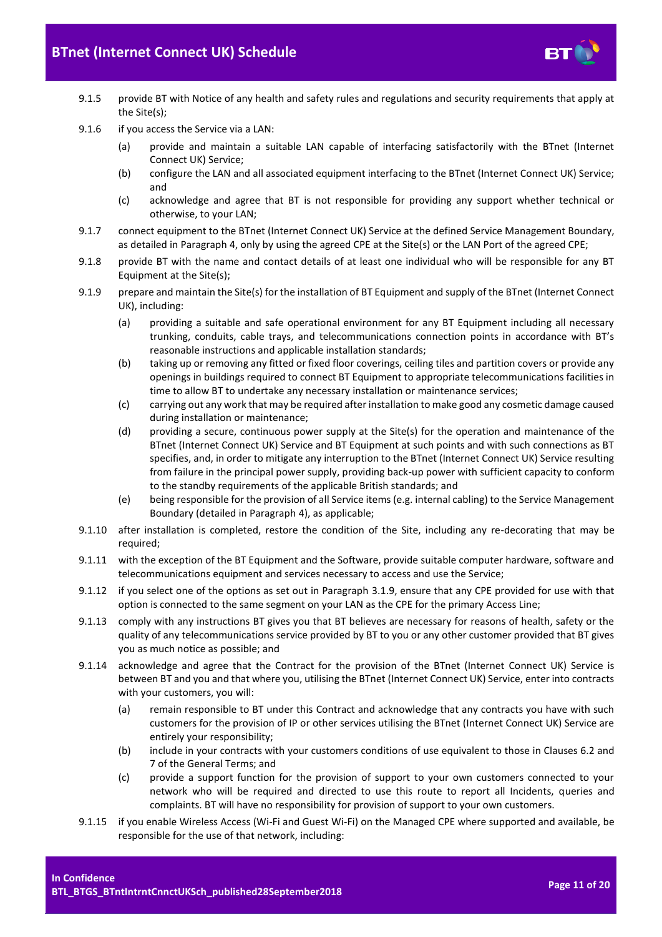

- 9.1.5 provide BT with Notice of any health and safety rules and regulations and security requirements that apply at the Site(s);
- 9.1.6 if you access the Service via a LAN:
	- (a) provide and maintain a suitable LAN capable of interfacing satisfactorily with the BTnet (Internet Connect UK) Service;
	- (b) configure the LAN and all associated equipment interfacing to the BTnet (Internet Connect UK) Service; and
	- (c) acknowledge and agree that BT is not responsible for providing any support whether technical or otherwise, to your LAN;
- 9.1.7 connect equipment to the BTnet (Internet Connect UK) Service at the defined Service Management Boundary, as detailed in Paragrap[h 4,](#page-2-1) only by using the agreed CPE at the Site(s) or the LAN Port of the agreed CPE;
- 9.1.8 provide BT with the name and contact details of at least one individual who will be responsible for any BT Equipment at the Site(s);
- 9.1.9 prepare and maintain the Site(s) for the installation of BT Equipment and supply of the BTnet (Internet Connect UK), including:
	- (a) providing a suitable and safe operational environment for any BT Equipment including all necessary trunking, conduits, cable trays, and telecommunications connection points in accordance with BT's reasonable instructions and applicable installation standards;
	- (b) taking up or removing any fitted or fixed floor coverings, ceiling tiles and partition covers or provide any openings in buildings required to connect BT Equipment to appropriate telecommunications facilities in time to allow BT to undertake any necessary installation or maintenance services;
	- (c) carrying out any work that may be required after installation to make good any cosmetic damage caused during installation or maintenance;
	- (d) providing a secure, continuous power supply at the Site(s) for the operation and maintenance of the BTnet (Internet Connect UK) Service and BT Equipment at such points and with such connections as BT specifies, and, in order to mitigate any interruption to the BTnet (Internet Connect UK) Service resulting from failure in the principal power supply, providing back-up power with sufficient capacity to conform to the standby requirements of the applicable British standards; and
	- (e) being responsible for the provision of all Service items (e.g. internal cabling) to the Service Management Boundary (detailed in Paragrap[h 4\)](#page-2-1), as applicable;
- 9.1.10 after installation is completed, restore the condition of the Site, including any re-decorating that may be required;
- 9.1.11 with the exception of the BT Equipment and the Software, provide suitable computer hardware, software and telecommunications equipment and services necessary to access and use the Service;
- 9.1.12 if you select one of the options as set out in Paragraph [3.1.9,](#page-2-4) ensure that any CPE provided for use with that option is connected to the same segment on your LAN as the CPE for the primary Access Line;
- 9.1.13 comply with any instructions BT gives you that BT believes are necessary for reasons of health, safety or the quality of any telecommunications service provided by BT to you or any other customer provided that BT gives you as much notice as possible; and
- 9.1.14 acknowledge and agree that the Contract for the provision of the BTnet (Internet Connect UK) Service is between BT and you and that where you, utilising the BTnet (Internet Connect UK) Service, enter into contracts with your customers, you will:
	- (a) remain responsible to BT under this Contract and acknowledge that any contracts you have with such customers for the provision of IP or other services utilising the BTnet (Internet Connect UK) Service are entirely your responsibility;
	- (b) include in your contracts with your customers conditions of use equivalent to those in Clauses 6.2 and 7 of the General Terms; and
	- (c) provide a support function for the provision of support to your own customers connected to your network who will be required and directed to use this route to report all Incidents, queries and complaints. BT will have no responsibility for provision of support to your own customers.
- 9.1.15 if you enable Wireless Access (Wi-Fi and Guest Wi-Fi) on the Managed CPE where supported and available, be responsible for the use of that network, including: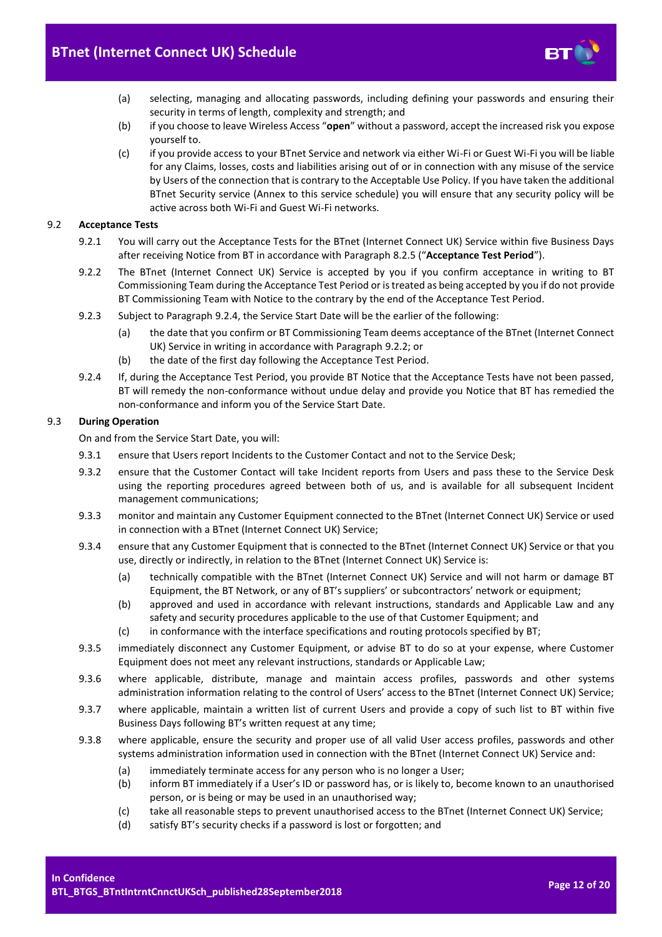

- (a) selecting, managing and allocating passwords, including defining your passwords and ensuring their security in terms of length, complexity and strength; and
- (b) if you choose to leave Wireless Access "**open**" without a password, accept the increased risk you expose yourself to.
- (c) if you provide access to your BTnet Service and network via either Wi-Fi or Guest Wi-Fi you will be liable for any Claims, losses, costs and liabilities arising out of or in connection with any misuse of the service by Users of the connection that is contrary to the Acceptable Use Policy. If you have taken the additional BTnet Security service (Annex to this service schedule) you will ensure that any security policy will be active across both Wi-Fi and Guest Wi-Fi networks.

# <span id="page-11-3"></span><span id="page-11-0"></span>9.2 **Acceptance Tests**

- 9.2.1 You will carry out the Acceptance Tests for the BTnet (Internet Connect UK) Service within five Business Days after receiving Notice from BT in accordance with Paragrap[h 8.2.5](#page-8-4) ("**Acceptance Test Period**").
- <span id="page-11-2"></span>9.2.2 The BTnet (Internet Connect UK) Service is accepted by you if you confirm acceptance in writing to BT Commissioning Team during the Acceptance Test Period or is treated as being accepted by you if do not provide BT Commissioning Team with Notice to the contrary by the end of the Acceptance Test Period.
- 9.2.3 Subject to Paragrap[h 9.2.4,](#page-11-1) the Service Start Date will be the earlier of the following:
	- (a) the date that you confirm or BT Commissioning Team deems acceptance of the BTnet (Internet Connect UK) Service in writing in accordance with Paragrap[h 9.2.2;](#page-11-2) or
	- (b) the date of the first day following the Acceptance Test Period.
- <span id="page-11-1"></span>9.2.4 If, during the Acceptance Test Period, you provide BT Notice that the Acceptance Tests have not been passed, BT will remedy the non-conformance without undue delay and provide you Notice that BT has remedied the non-conformance and inform you of the Service Start Date.

#### 9.3 **During Operation**

On and from the Service Start Date, you will:

- 9.3.1 ensure that Users report Incidents to the Customer Contact and not to the Service Desk;
- 9.3.2 ensure that the Customer Contact will take Incident reports from Users and pass these to the Service Desk using the reporting procedures agreed between both of us, and is available for all subsequent Incident management communications;
- 9.3.3 monitor and maintain any Customer Equipment connected to the BTnet (Internet Connect UK) Service or used in connection with a BTnet (Internet Connect UK) Service;
- 9.3.4 ensure that any Customer Equipment that is connected to the BTnet (Internet Connect UK) Service or that you use, directly or indirectly, in relation to the BTnet (Internet Connect UK) Service is:
	- (a) technically compatible with the BTnet (Internet Connect UK) Service and will not harm or damage BT Equipment, the BT Network, or any of BT's suppliers' or subcontractors' network or equipment;
	- (b) approved and used in accordance with relevant instructions, standards and Applicable Law and any safety and security procedures applicable to the use of that Customer Equipment; and
	- (c) in conformance with the interface specifications and routing protocols specified by BT;
- 9.3.5 immediately disconnect any Customer Equipment, or advise BT to do so at your expense, where Customer Equipment does not meet any relevant instructions, standards or Applicable Law;
- 9.3.6 where applicable, distribute, manage and maintain access profiles, passwords and other systems administration information relating to the control of Users' access to the BTnet (Internet Connect UK) Service;
- 9.3.7 where applicable, maintain a written list of current Users and provide a copy of such list to BT within five Business Days following BT's written request at any time;
- 9.3.8 where applicable, ensure the security and proper use of all valid User access profiles, passwords and other systems administration information used in connection with the BTnet (Internet Connect UK) Service and:
	- (a) immediately terminate access for any person who is no longer a User;
	- (b) inform BT immediately if a User's ID or password has, or is likely to, become known to an unauthorised person, or is being or may be used in an unauthorised way;
	- (c) take all reasonable steps to prevent unauthorised access to the BTnet (Internet Connect UK) Service;
	- (d) satisfy BT's security checks if a password is lost or forgotten; and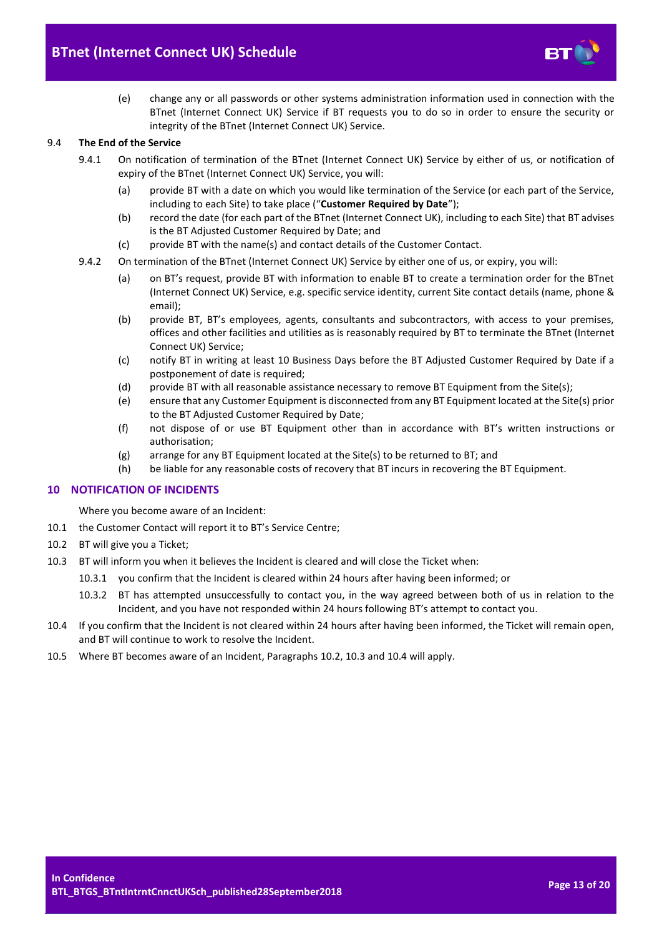

(e) change any or all passwords or other systems administration information used in connection with the BTnet (Internet Connect UK) Service if BT requests you to do so in order to ensure the security or integrity of the BTnet (Internet Connect UK) Service.

#### <span id="page-12-1"></span>9.4 **The End of the Service**

- 9.4.1 On notification of termination of the BTnet (Internet Connect UK) Service by either of us, or notification of expiry of the BTnet (Internet Connect UK) Service, you will:
	- (a) provide BT with a date on which you would like termination of the Service (or each part of the Service, including to each Site) to take place ("**Customer Required by Date**");
	- (b) record the date (for each part of the BTnet (Internet Connect UK), including to each Site) that BT advises is the BT Adjusted Customer Required by Date; and
	- (c) provide BT with the name(s) and contact details of the Customer Contact.
- 9.4.2 On termination of the BTnet (Internet Connect UK) Service by either one of us, or expiry, you will:
	- (a) on BT's request, provide BT with information to enable BT to create a termination order for the BTnet (Internet Connect UK) Service, e.g. specific service identity, current Site contact details (name, phone & email);
	- (b) provide BT, BT's employees, agents, consultants and subcontractors, with access to your premises, offices and other facilities and utilities as is reasonably required by BT to terminate the BTnet (Internet Connect UK) Service;
	- (c) notify BT in writing at least 10 Business Days before the BT Adjusted Customer Required by Date if a postponement of date is required;
	- (d) provide BT with all reasonable assistance necessary to remove BT Equipment from the Site(s);
	- (e) ensure that any Customer Equipment is disconnected from any BT Equipment located at the Site(s) prior to the BT Adjusted Customer Required by Date;
	- (f) not dispose of or use BT Equipment other than in accordance with BT's written instructions or authorisation;
	- (g) arrange for any BT Equipment located at the Site(s) to be returned to BT; and
	- (h) be liable for any reasonable costs of recovery that BT incurs in recovering the BT Equipment.

# <span id="page-12-0"></span>**10 NOTIFICATION OF INCIDENTS**

Where you become aware of an Incident:

- 10.1 the Customer Contact will report it to BT's Service Centre;
- <span id="page-12-2"></span>10.2 BT will give you a Ticket;
- <span id="page-12-3"></span>10.3 BT will inform you when it believes the Incident is cleared and will close the Ticket when:
	- 10.3.1 you confirm that the Incident is cleared within 24 hours after having been informed; or
	- 10.3.2 BT has attempted unsuccessfully to contact you, in the way agreed between both of us in relation to the Incident, and you have not responded within 24 hours following BT's attempt to contact you.
- <span id="page-12-4"></span>10.4 If you confirm that the Incident is not cleared within 24 hours after having been informed, the Ticket will remain open, and BT will continue to work to resolve the Incident.
- <span id="page-12-5"></span>10.5 Where BT becomes aware of an Incident, Paragraphs [10.2,](#page-12-2) [10.3](#page-12-3) an[d 10.4](#page-12-4) will apply.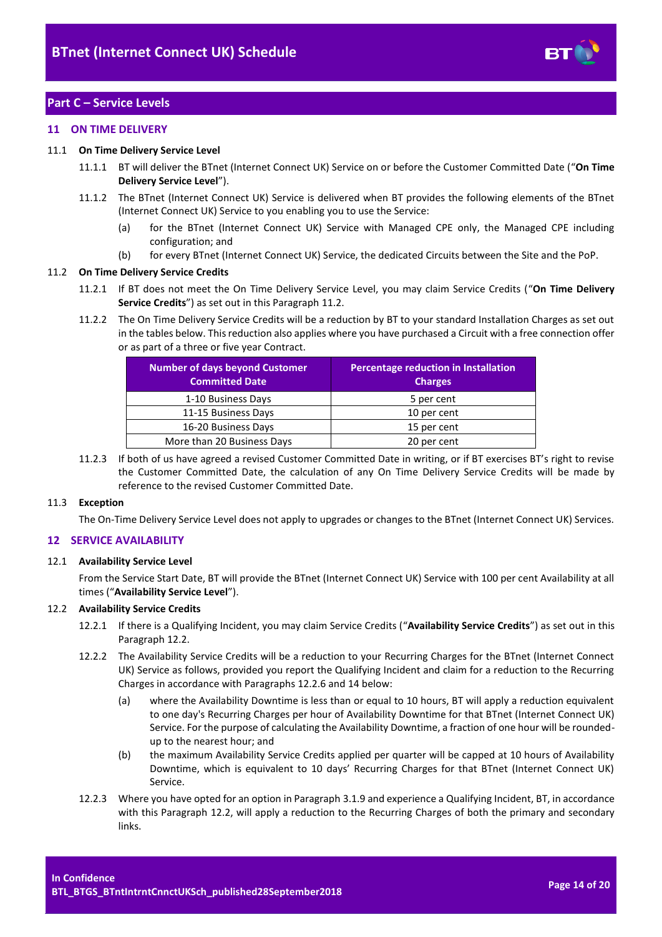

# <span id="page-13-0"></span>**Part C – Service Levels**

#### <span id="page-13-1"></span>**11 ON TIME DELIVERY**

#### <span id="page-13-6"></span>11.1 **On Time Delivery Service Level**

- 11.1.1 BT will deliver the BTnet (Internet Connect UK) Service on or before the Customer Committed Date ("**On Time Delivery Service Level**").
- 11.1.2 The BTnet (Internet Connect UK) Service is delivered when BT provides the following elements of the BTnet (Internet Connect UK) Service to you enabling you to use the Service:
	- (a) for the BTnet (Internet Connect UK) Service with Managed CPE only, the Managed CPE including configuration; and
	- (b) for every BTnet (Internet Connect UK) Service, the dedicated Circuits between the Site and the PoP.

#### <span id="page-13-3"></span>11.2 **On Time Delivery Service Credits**

- 11.2.1 If BT does not meet the On Time Delivery Service Level, you may claim Service Credits ("**On Time Delivery Service Credits**") as set out in this Paragrap[h 11.2.](#page-13-3)
- 11.2.2 The On Time Delivery Service Credits will be a reduction by BT to your standard Installation Charges as set out in the tables below. This reduction also applies where you have purchased a Circuit with a free connection offer or as part of a three or five year Contract.

| <b>Number of days beyond Customer</b><br><b>Committed Date</b> | Percentage reduction in Installation<br><b>Charges</b> |
|----------------------------------------------------------------|--------------------------------------------------------|
| 1-10 Business Days                                             | 5 per cent                                             |
| 11-15 Business Days                                            | 10 per cent                                            |
| 16-20 Business Days                                            | 15 per cent                                            |
| More than 20 Business Days                                     | 20 per cent                                            |

11.2.3 If both of us have agreed a revised Customer Committed Date in writing, or if BT exercises BT's right to revise the Customer Committed Date, the calculation of any On Time Delivery Service Credits will be made by reference to the revised Customer Committed Date.

#### 11.3 **Exception**

The On-Time Delivery Service Level does not apply to upgrades or changes to the BTnet (Internet Connect UK) Services.

# <span id="page-13-2"></span>**12 SERVICE AVAILABILITY**

# <span id="page-13-5"></span>12.1 **Availability Service Level**

From the Service Start Date, BT will provide the BTnet (Internet Connect UK) Service with 100 per cent Availability at all times ("**Availability Service Level**").

#### <span id="page-13-4"></span>12.2 **Availability Service Credits**

- 12.2.1 If there is a Qualifying Incident, you may claim Service Credits ("**Availability Service Credits**") as set out in this Paragrap[h 12.2.](#page-13-4)
- 12.2.2 The Availability Service Credits will be a reduction to your Recurring Charges for the BTnet (Internet Connect UK) Service as follows, provided you report the Qualifying Incident and claim for a reduction to the Recurring Charges in accordance with Paragraphs [12.2.6](#page-14-2) and [14](#page-14-1) below:
	- (a) where the Availability Downtime is less than or equal to 10 hours, BT will apply a reduction equivalent to one day's Recurring Charges per hour of Availability Downtime for that BTnet (Internet Connect UK) Service. For the purpose of calculating the Availability Downtime, a fraction of one hour will be roundedup to the nearest hour; and
	- (b) the maximum Availability Service Credits applied per quarter will be capped at 10 hours of Availability Downtime, which is equivalent to 10 days' Recurring Charges for that BTnet (Internet Connect UK) Service.
- 12.2.3 Where you have opted for an option in Paragrap[h 3.1.9](#page-2-4) and experience a Qualifying Incident, BT, in accordance with this Paragraph [12.2,](#page-13-4) will apply a reduction to the Recurring Charges of both the primary and secondary links.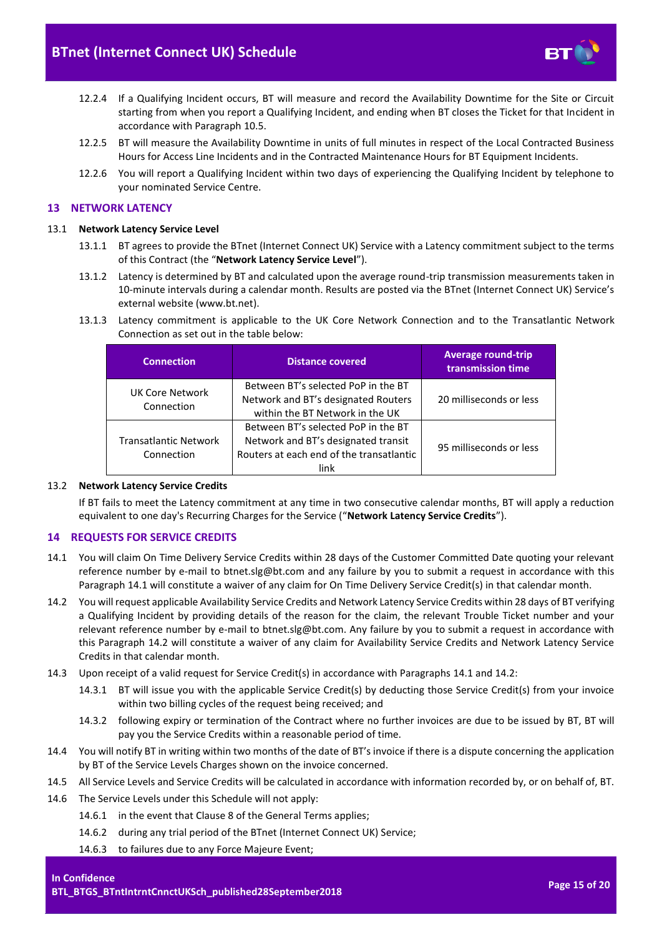

- 12.2.4 If a Qualifying Incident occurs, BT will measure and record the Availability Downtime for the Site or Circuit starting from when you report a Qualifying Incident, and ending when BT closes the Ticket for that Incident in accordance with Paragrap[h 10.5.](#page-12-5)
- 12.2.5 BT will measure the Availability Downtime in units of full minutes in respect of the Local Contracted Business Hours for Access Line Incidents and in the Contracted Maintenance Hours for BT Equipment Incidents.
- <span id="page-14-2"></span>12.2.6 You will report a Qualifying Incident within two days of experiencing the Qualifying Incident by telephone to your nominated Service Centre.

# <span id="page-14-0"></span>**13 NETWORK LATENCY**

#### <span id="page-14-5"></span>13.1 **Network Latency Service Level**

- 13.1.1 BT agrees to provide the BTnet (Internet Connect UK) Service with a Latency commitment subject to the terms of this Contract (the "**Network Latency Service Level**").
- 13.1.2 Latency is determined by BT and calculated upon the average round-trip transmission measurements taken in 10-minute intervals during a calendar month. Results are posted via the BTnet (Internet Connect UK) Service's external website (www.bt.net).
- 13.1.3 Latency commitment is applicable to the UK Core Network Connection and to the Transatlantic Network Connection as set out in the table below:

| <b>Connection</b>                          | <b>Distance covered</b>                                                                                                        | <b>Average round-trip</b><br>transmission time |
|--------------------------------------------|--------------------------------------------------------------------------------------------------------------------------------|------------------------------------------------|
| UK Core Network<br>Connection              | Between BT's selected PoP in the BT<br>Network and BT's designated Routers<br>within the BT Network in the UK                  | 20 milliseconds or less                        |
| <b>Transatlantic Network</b><br>Connection | Between BT's selected PoP in the BT<br>Network and BT's designated transit<br>Routers at each end of the transatlantic<br>link | 95 milliseconds or less                        |

#### <span id="page-14-6"></span>13.2 **Network Latency Service Credits**

If BT fails to meet the Latency commitment at any time in two consecutive calendar months, BT will apply a reduction equivalent to one day's Recurring Charges for the Service ("**Network Latency Service Credits**").

# <span id="page-14-1"></span>**14 REQUESTS FOR SERVICE CREDITS**

- <span id="page-14-3"></span>14.1 You will claim On Time Delivery Service Credits within 28 days of the Customer Committed Date quoting your relevant reference number by e-mail to btnet.slg@bt.com and any failure by you to submit a request in accordance with this Paragraph [14.1](#page-14-3) will constitute a waiver of any claim for On Time Delivery Service Credit(s) in that calendar month.
- <span id="page-14-4"></span>14.2 You will request applicable Availability Service Credits and Network Latency Service Credits within 28 days of BT verifying a Qualifying Incident by providing details of the reason for the claim, the relevant Trouble Ticket number and your relevant reference number by e-mail to btnet.slg@bt.com. Any failure by you to submit a request in accordance with this Paragraph [14.2](#page-14-4) will constitute a waiver of any claim for Availability Service Credits and Network Latency Service Credits in that calendar month.
- 14.3 Upon receipt of a valid request for Service Credit(s) in accordance with Paragraphs [14.1](#page-14-3) an[d 14.2:](#page-14-4)
	- 14.3.1 BT will issue you with the applicable Service Credit(s) by deducting those Service Credit(s) from your invoice within two billing cycles of the request being received; and
	- 14.3.2 following expiry or termination of the Contract where no further invoices are due to be issued by BT, BT will pay you the Service Credits within a reasonable period of time.
- 14.4 You will notify BT in writing within two months of the date of BT's invoice if there is a dispute concerning the application by BT of the Service Levels Charges shown on the invoice concerned.
- 14.5 All Service Levels and Service Credits will be calculated in accordance with information recorded by, or on behalf of, BT.
- 14.6 The Service Levels under this Schedule will not apply:
	- 14.6.1 in the event that Clause 8 of the General Terms applies;
	- 14.6.2 during any trial period of the BTnet (Internet Connect UK) Service;
	- 14.6.3 to failures due to any Force Majeure Event;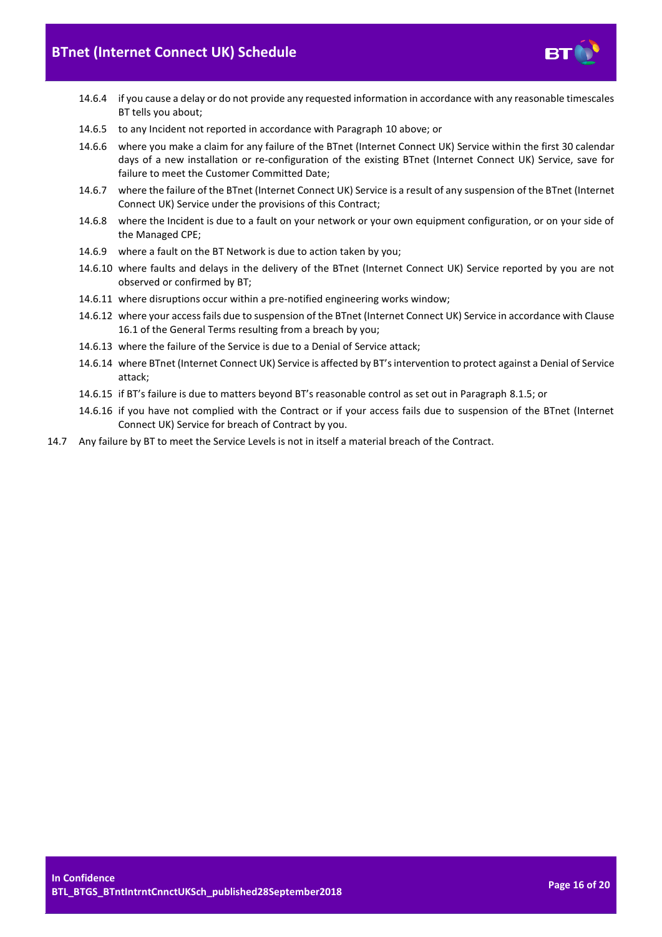

- 14.6.4 if you cause a delay or do not provide any requested information in accordance with any reasonable timescales BT tells you about;
- 14.6.5 to any Incident not reported in accordance with Paragraph [10](#page-12-0) above; or
- 14.6.6 where you make a claim for any failure of the BTnet (Internet Connect UK) Service within the first 30 calendar days of a new installation or re-configuration of the existing BTnet (Internet Connect UK) Service, save for failure to meet the Customer Committed Date;
- 14.6.7 where the failure of the BTnet (Internet Connect UK) Service is a result of any suspension of the BTnet (Internet Connect UK) Service under the provisions of this Contract;
- 14.6.8 where the Incident is due to a fault on your network or your own equipment configuration, or on your side of the Managed CPE;
- 14.6.9 where a fault on the BT Network is due to action taken by you;
- 14.6.10 where faults and delays in the delivery of the BTnet (Internet Connect UK) Service reported by you are not observed or confirmed by BT;
- 14.6.11 where disruptions occur within a pre-notified engineering works window;
- 14.6.12 where your access fails due to suspension of the BTnet (Internet Connect UK) Service in accordance with Clause 16.1 of the General Terms resulting from a breach by you;
- 14.6.13 where the failure of the Service is due to a Denial of Service attack;
- 14.6.14 where BTnet (Internet Connect UK) Service is affected by BT's intervention to protect against a Denial of Service attack;
- 14.6.15 if BT's failure is due to matters beyond BT's reasonable control as set out in Paragraph [8.1.5;](#page-8-5) or
- 14.6.16 if you have not complied with the Contract or if your access fails due to suspension of the BTnet (Internet Connect UK) Service for breach of Contract by you.
- 14.7 Any failure by BT to meet the Service Levels is not in itself a material breach of the Contract.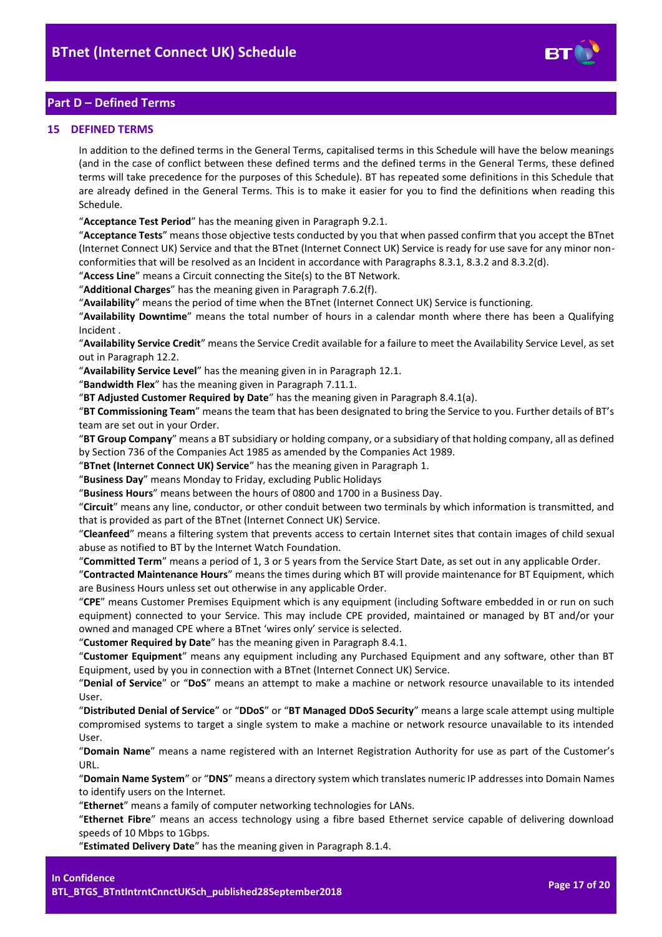

# <span id="page-16-0"></span>**Part D – Defined Terms**

#### <span id="page-16-1"></span>**15 DEFINED TERMS**

In addition to the defined terms in the General Terms, capitalised terms in this Schedule will have the below meanings (and in the case of conflict between these defined terms and the defined terms in the General Terms, these defined terms will take precedence for the purposes of this Schedule). BT has repeated some definitions in this Schedule that are already defined in the General Terms. This is to make it easier for you to find the definitions when reading this Schedule.

"**Acceptance Test Period**" has the meaning given in Paragraph [9.2.1.](#page-11-3)

"**Acceptance Tests**" means those objective tests conducted by you that when passed confirm that you accept the BTnet (Internet Connect UK) Service and that the BTnet (Internet Connect UK) Service is ready for use save for any minor nonconformities that will be resolved as an Incident in accordance with Paragraph[s 8.3.1,](#page-8-6) [8.3.2](#page-8-7) and [8.3.2\(d\).](#page-9-2)

"**Access Line**" means a Circuit connecting the Site(s) to the BT Network.

"**Additional Charges**" has the meaning given in Paragrap[h 7.6.2\(f\).](#page-5-6)

"**Availability**" means the period of time when the BTnet (Internet Connect UK) Service is functioning.

"**Availability Downtime**" means the total number of hours in a calendar month where there has been a Qualifying Incident .

"**Availability Service Credit**" means the Service Credit available for a failure to meet the Availability Service Level, as set out in Paragraph [12.2.](#page-13-4)

"**Availability Service Level**" has the meaning given in in Paragraph [12.1.](#page-13-5)

"**Bandwidth Flex**" has the meaning given in Paragraph [7.11.1.](#page-6-1)

"**BT Adjusted Customer Required by Date**" has the meaning given in Paragraph [8.4.1\(a\).](#page-9-3)

"**BT Commissioning Team**" means the team that has been designated to bring the Service to you. Further details of BT's team are set out in your Order.

"**BT Group Company**" means a BT subsidiary or holding company, or a subsidiary of that holding company, all as defined by Section 736 of the Companies Act 1985 as amended by the Companies Act 1989.

"**BTnet (Internet Connect UK) Service**" has the meaning given in Paragrap[h 1.](#page-1-3)

"**Business Day**" means Monday to Friday, excluding Public Holidays

"**Business Hours**" means between the hours of 0800 and 1700 in a Business Day.

"**Circuit**" means any line, conductor, or other conduit between two terminals by which information is transmitted, and that is provided as part of the BTnet (Internet Connect UK) Service.

"**Cleanfeed**" means a filtering system that prevents access to certain Internet sites that contain images of child sexual abuse as notified to BT by the Internet Watch Foundation.

"**Committed Term**" means a period of 1, 3 or 5 years from the Service Start Date, as set out in any applicable Order.

"**Contracted Maintenance Hours**" means the times during which BT will provide maintenance for BT Equipment, which are Business Hours unless set out otherwise in any applicable Order.

"**CPE**" means Customer Premises Equipment which is any equipment (including Software embedded in or run on such equipment) connected to your Service. This may include CPE provided, maintained or managed by BT and/or your owned and managed CPE where a BTnet 'wires only' service is selected.

"**Customer Required by Date**" has the meaning given in Paragrap[h 8.4.1.](#page-9-4)

"**Customer Equipment**" means any equipment including any Purchased Equipment and any software, other than BT Equipment, used by you in connection with a BTnet (Internet Connect UK) Service.

"**Denial of Service**" or "**DoS**" means an attempt to make a machine or network resource unavailable to its intended User.

"**Distributed Denial of Service**" or "**DDoS**" or "**BT Managed DDoS Security**" means a large scale attempt using multiple compromised systems to target a single system to make a machine or network resource unavailable to its intended User.

"**Domain Name**" means a name registered with an Internet Registration Authority for use as part of the Customer's URL.

"**Domain Name System**" or "**DNS**" means a directory system which translates numeric IP addresses into Domain Names to identify users on the Internet.

"**Ethernet**" means a family of computer networking technologies for LANs.

"**Ethernet Fibre**" means an access technology using a fibre based Ethernet service capable of delivering download speeds of 10 Mbps to 1Gbps.

"**Estimated Delivery Date**" has the meaning given in Paragraph 8.1.4.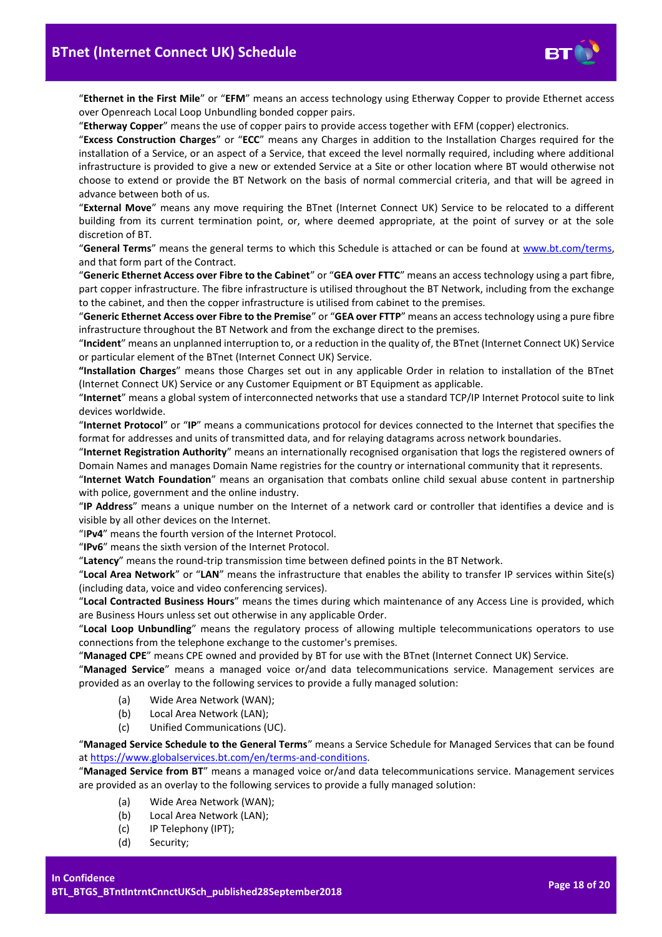

"**Ethernet in the First Mile**" or "**EFM**" means an access technology using Etherway Copper to provide Ethernet access over Openreach Local Loop Unbundling bonded copper pairs.

"**Etherway Copper**" means the use of copper pairs to provide access together with EFM (copper) electronics.

"**Excess Construction Charges**" or "**ECC**" means any Charges in addition to the Installation Charges required for the installation of a Service, or an aspect of a Service, that exceed the level normally required, including where additional infrastructure is provided to give a new or extended Service at a Site or other location where BT would otherwise not choose to extend or provide the BT Network on the basis of normal commercial criteria, and that will be agreed in advance between both of us.

"**External Move**" means any move requiring the BTnet (Internet Connect UK) Service to be relocated to a different building from its current termination point, or, where deemed appropriate, at the point of survey or at the sole discretion of BT.

"**General Terms**" means the general terms to which this Schedule is attached or can be found at [www.bt.com/terms,](http://www.bt.com/terms) and that form part of the Contract.

"**Generic Ethernet Access over Fibre to the Cabinet**" or "**GEA over FTTC**" means an access technology using a part fibre, part copper infrastructure. The fibre infrastructure is utilised throughout the BT Network, including from the exchange to the cabinet, and then the copper infrastructure is utilised from cabinet to the premises.

"**Generic Ethernet Access over Fibre to the Premise**" or "**GEA over FTTP**" means an access technology using a pure fibre infrastructure throughout the BT Network and from the exchange direct to the premises.

"**Incident**" means an unplanned interruption to, or a reduction in the quality of, the BTnet (Internet Connect UK) Service or particular element of the BTnet (Internet Connect UK) Service.

**"Installation Charges**" means those Charges set out in any applicable Order in relation to installation of the BTnet (Internet Connect UK) Service or any Customer Equipment or BT Equipment as applicable.

"**Internet**" means a global system of interconnected networks that use a standard TCP/IP Internet Protocol suite to link devices worldwide.

"**Internet Protocol**" or "**IP**" means a communications protocol for devices connected to the Internet that specifies the format for addresses and units of transmitted data, and for relaying datagrams across network boundaries.

"**Internet Registration Authority**" means an internationally recognised organisation that logs the registered owners of Domain Names and manages Domain Name registries for the country or international community that it represents.

"**Internet Watch Foundation**" means an organisation that combats online child sexual abuse content in partnership with police, government and the online industry.

"**IP Address**" means a unique number on the Internet of a network card or controller that identifies a device and is visible by all other devices on the Internet.

"I**Pv4**" means the fourth version of the Internet Protocol.

"**IPv6**" means the sixth version of the Internet Protocol.

"**Latency**" means the round-trip transmission time between defined points in the BT Network.

"**Local Area Network**" or "**LAN**" means the infrastructure that enables the ability to transfer IP services within Site(s) (including data, voice and video conferencing services).

"**Local Contracted Business Hours**" means the times during which maintenance of any Access Line is provided, which are Business Hours unless set out otherwise in any applicable Order.

"**Local Loop Unbundling**" means the regulatory process of allowing multiple telecommunications operators to use connections from the telephone exchange to the customer's premises.

"**Managed CPE**" means CPE owned and provided by BT for use with the BTnet (Internet Connect UK) Service.

"**Managed Service**" means a managed voice or/and data telecommunications service. Management services are provided as an overlay to the following services to provide a fully managed solution:

- (a) Wide Area Network (WAN);
- (b) Local Area Network (LAN);
- (c) Unified Communications (UC).

"**Managed Service Schedule to the General Terms**" means a Service Schedule for Managed Services that can be found a[t https://www.globalservices.bt.com/en/terms-and-conditions.](https://www.globalservices.bt.com/en/terms-and-conditions)

"**Managed Service from BT**" means a managed voice or/and data telecommunications service. Management services are provided as an overlay to the following services to provide a fully managed solution:

- (a) Wide Area Network (WAN);
- (b) Local Area Network (LAN);
- (c) IP Telephony (IPT);
- (d) Security;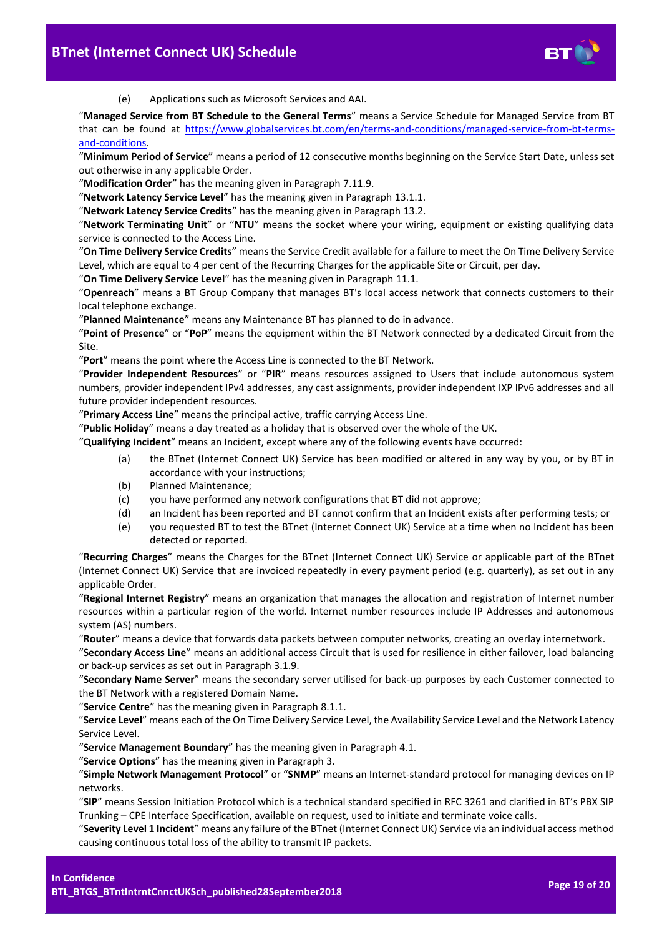

(e) Applications such as Microsoft Services and AAI.

"**Managed Service from BT Schedule to the General Terms**" means a Service Schedule for Managed Service from BT that can be found at [https://www.globalservices.bt.com/en/terms-and-conditions/managed-service-from-bt-terms](https://www.globalservices.bt.com/en/terms-and-conditions/managed-service-from-bt-terms-and-conditions)[and-conditions.](https://www.globalservices.bt.com/en/terms-and-conditions/managed-service-from-bt-terms-and-conditions)

"**Minimum Period of Service**" means a period of 12 consecutive months beginning on the Service Start Date, unless set out otherwise in any applicable Order.

"**Modification Order**" has the meaning given in Paragraph [7.11.9.](#page-7-1)

"**Network Latency Service Level**" has the meaning given in Paragraph [13.1.1.](#page-14-5)

"**Network Latency Service Credits**" has the meaning given in Paragraph [13.2.](#page-14-6)

"**Network Terminating Unit**" or "**NTU**" means the socket where your wiring, equipment or existing qualifying data service is connected to the Access Line.

"**On Time Delivery Service Credits**" means the Service Credit available for a failure to meet the On Time Delivery Service Level, which are equal to 4 per cent of the Recurring Charges for the applicable Site or Circuit, per day.

"**On Time Delivery Service Level**" has the meaning given in Paragraph [11.1.](#page-13-6)

"**Openreach**" means a BT Group Company that manages BT's local access network that connects customers to their local telephone exchange.

"**Planned Maintenance**" means any Maintenance BT has planned to do in advance.

"**Point of Presence**" or "**PoP**" means the equipment within the BT Network connected by a dedicated Circuit from the Site.

"**Port**" means the point where the Access Line is connected to the BT Network.

"**Provider Independent Resources**" or "**PIR**" means resources assigned to Users that include autonomous system numbers, provider independent IPv4 addresses, any cast assignments, provider independent IXP IPv6 addresses and all future provider independent resources.

"**Primary Access Line**" means the principal active, traffic carrying Access Line.

"**Public Holiday**" means a day treated as a holiday that is observed over the whole of the UK.

"**Qualifying Incident**" means an Incident, except where any of the following events have occurred:

- (a) the BTnet (Internet Connect UK) Service has been modified or altered in any way by you, or by BT in accordance with your instructions;
- (b) Planned Maintenance;
- (c) you have performed any network configurations that BT did not approve;
- (d) an Incident has been reported and BT cannot confirm that an Incident exists after performing tests; or
- (e) you requested BT to test the BTnet (Internet Connect UK) Service at a time when no Incident has been detected or reported.

"**Recurring Charges**" means the Charges for the BTnet (Internet Connect UK) Service or applicable part of the BTnet (Internet Connect UK) Service that are invoiced repeatedly in every payment period (e.g. quarterly), as set out in any applicable Order.

"**Regional Internet Registry**" means an organization that manages the allocation and registration of Internet number resources within a particular region of the world. Internet number resources include IP Addresses and autonomous system (AS) numbers.

"**Router**" means a device that forwards data packets between computer networks, creating an overlay internetwork.

"**Secondary Access Line**" means an additional access Circuit that is used for resilience in either failover, load balancing or back-up services as set out in Paragrap[h 3.1.9.](#page-2-4)

"**Secondary Name Server**" means the secondary server utilised for back-up purposes by each Customer connected to the BT Network with a registered Domain Name.

"**Service Centre**" has the meaning given in Paragrap[h 8.1.1.](#page-8-8)

"**Service Level**" means each of the On Time Delivery Service Level, the Availability Service Level and the Network Latency Service Level.

"**Service Management Boundary**" has the meaning given in Paragrap[h 4.1.](#page-2-5)

"**Service Options**" has the meaning given in Paragrap[h 3.](#page-2-0)

"**Simple Network Management Protocol**" or "**SNMP**" means an Internet-standard protocol for managing devices on IP networks.

"**SIP**" means Session Initiation Protocol which is a technical standard specified in RFC 3261 and clarified in BT's PBX SIP Trunking – CPE Interface Specification, available on request, used to initiate and terminate voice calls.

"**Severity Level 1 Incident**" means any failure of the BTnet (Internet Connect UK) Service via an individual access method causing continuous total loss of the ability to transmit IP packets.